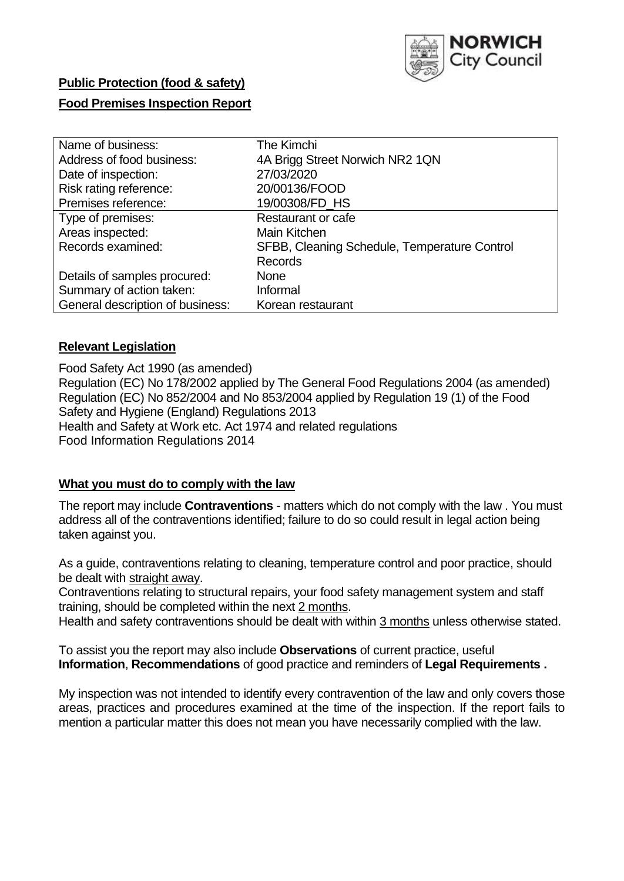

## **Public Protection (food & safety)**

## **Food Premises Inspection Report**

| Name of business:                | The Kimchi                                   |
|----------------------------------|----------------------------------------------|
| Address of food business:        | 4A Brigg Street Norwich NR2 1QN              |
| Date of inspection:              | 27/03/2020                                   |
| Risk rating reference:           | 20/00136/FOOD                                |
| Premises reference:              | 19/00308/FD_HS                               |
| Type of premises:                | <b>Restaurant or cafe</b>                    |
| Areas inspected:                 | Main Kitchen                                 |
| Records examined:                | SFBB, Cleaning Schedule, Temperature Control |
|                                  | <b>Records</b>                               |
| Details of samples procured:     | <b>None</b>                                  |
| Summary of action taken:         | Informal                                     |
| General description of business: | Korean restaurant                            |

### **Relevant Legislation**

Food Safety Act 1990 (as amended) Regulation (EC) No 178/2002 applied by The General Food Regulations 2004 (as amended) Regulation (EC) No 852/2004 and No 853/2004 applied by Regulation 19 (1) of the Food Safety and Hygiene (England) Regulations 2013 Health and Safety at Work etc. Act 1974 and related regulations Food Information Regulations 2014

## **What you must do to comply with the law**

The report may include **Contraventions** - matters which do not comply with the law . You must address all of the contraventions identified; failure to do so could result in legal action being taken against you.

As a guide, contraventions relating to cleaning, temperature control and poor practice, should be dealt with straight away.

Contraventions relating to structural repairs, your food safety management system and staff training, should be completed within the next 2 months.

Health and safety contraventions should be dealt with within 3 months unless otherwise stated.

To assist you the report may also include **Observations** of current practice, useful **Information**, **Recommendations** of good practice and reminders of **Legal Requirements .**

My inspection was not intended to identify every contravention of the law and only covers those areas, practices and procedures examined at the time of the inspection. If the report fails to mention a particular matter this does not mean you have necessarily complied with the law.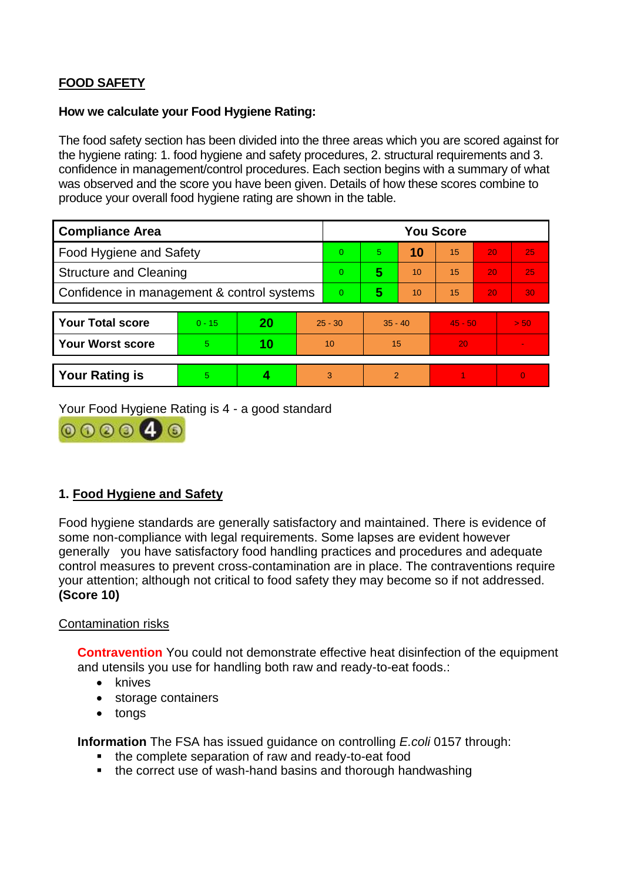# **FOOD SAFETY**

### **How we calculate your Food Hygiene Rating:**

The food safety section has been divided into the three areas which you are scored against for the hygiene rating: 1. food hygiene and safety procedures, 2. structural requirements and 3. confidence in management/control procedures. Each section begins with a summary of what was observed and the score you have been given. Details of how these scores combine to produce your overall food hygiene rating are shown in the table.

| <b>Compliance Area</b>                     |          |    |                | <b>You Score</b> |                |    |                 |    |          |  |  |
|--------------------------------------------|----------|----|----------------|------------------|----------------|----|-----------------|----|----------|--|--|
| Food Hygiene and Safety                    |          |    |                | $\Omega$         | 5              | 10 | $\overline{15}$ | 20 | 25       |  |  |
| <b>Structure and Cleaning</b>              |          |    |                | $\Omega$         | 5              | 10 | 15              | 20 | 25       |  |  |
| Confidence in management & control systems |          |    | $\overline{0}$ | 5                | 10             | 15 | 20              | 30 |          |  |  |
|                                            |          |    |                |                  |                |    |                 |    |          |  |  |
| <b>Your Total score</b>                    | $0 - 15$ | 20 | $25 - 30$      |                  | $35 - 40$      |    | $45 - 50$       |    | > 50     |  |  |
| <b>Your Worst score</b>                    | 5.       | 10 | 10             |                  | 15             |    | 20              |    |          |  |  |
|                                            |          |    |                |                  |                |    |                 |    |          |  |  |
| <b>Your Rating is</b>                      | 5        |    |                | 3                | $\overline{2}$ |    |                 |    | $\Omega$ |  |  |

Your Food Hygiene Rating is 4 - a good standard



## **1. Food Hygiene and Safety**

Food hygiene standards are generally satisfactory and maintained. There is evidence of some non-compliance with legal requirements. Some lapses are evident however generally you have satisfactory food handling practices and procedures and adequate control measures to prevent cross-contamination are in place. The contraventions require your attention; although not critical to food safety they may become so if not addressed. **(Score 10)**

## Contamination risks

**Contravention** You could not demonstrate effective heat disinfection of the equipment and utensils you use for handling both raw and ready-to-eat foods.:

- knives
- storage containers
- tongs

**Information** The FSA has issued guidance on controlling *E.coli* 0157 through:

- the complete separation of raw and ready-to-eat food
- the correct use of wash-hand basins and thorough handwashing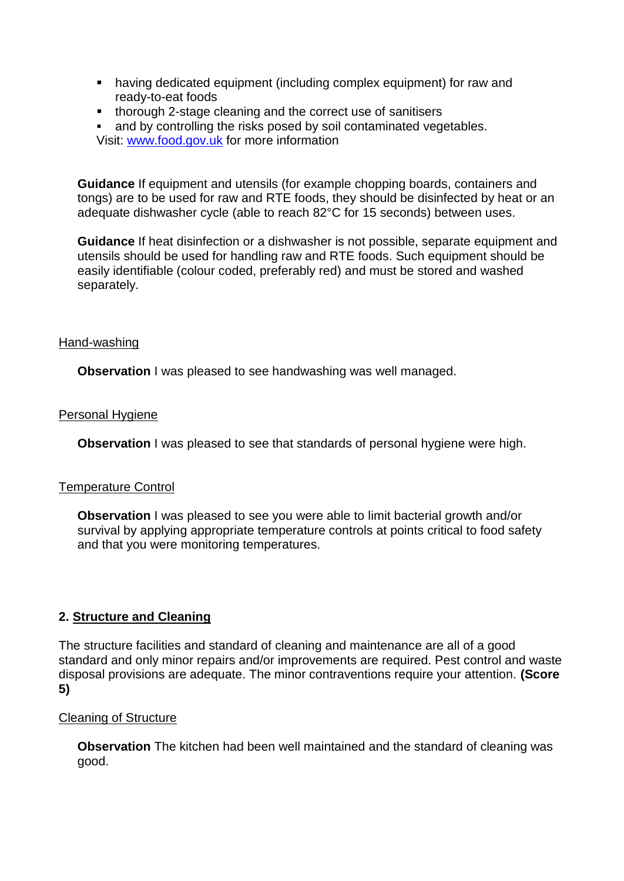- having dedicated equipment (including complex equipment) for raw and ready-to-eat foods
- **thorough 2-stage cleaning and the correct use of sanitisers**
- and by controlling the risks posed by soil contaminated vegetables. Visit: [www.food.gov.uk](http://www.food.gov.uk/) for more information

**Guidance** If equipment and utensils (for example chopping boards, containers and tongs) are to be used for raw and RTE foods, they should be disinfected by heat or an adequate dishwasher cycle (able to reach 82°C for 15 seconds) between uses.

**Guidance** If heat disinfection or a dishwasher is not possible, separate equipment and utensils should be used for handling raw and RTE foods. Such equipment should be easily identifiable (colour coded, preferably red) and must be stored and washed separately.

### Hand-washing

**Observation** I was pleased to see handwashing was well managed.

## Personal Hygiene

**Observation** I was pleased to see that standards of personal hygiene were high.

## Temperature Control

**Observation** I was pleased to see you were able to limit bacterial growth and/or survival by applying appropriate temperature controls at points critical to food safety and that you were monitoring temperatures.

## **2. Structure and Cleaning**

The structure facilities and standard of cleaning and maintenance are all of a good standard and only minor repairs and/or improvements are required. Pest control and waste disposal provisions are adequate. The minor contraventions require your attention. **(Score 5)**

## Cleaning of Structure

**Observation** The kitchen had been well maintained and the standard of cleaning was good.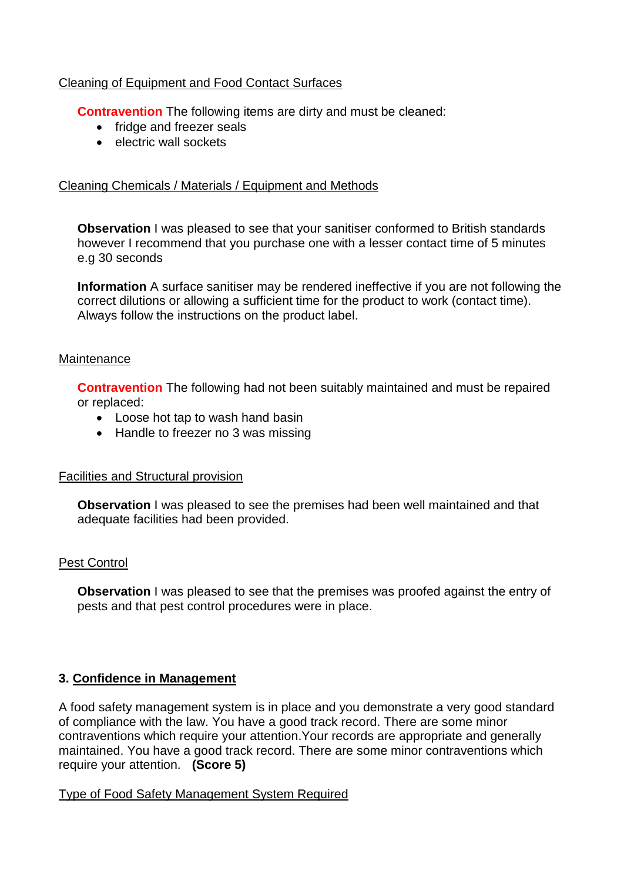## Cleaning of Equipment and Food Contact Surfaces

**Contravention** The following items are dirty and must be cleaned:

- fridge and freezer seals
- electric wall sockets

## Cleaning Chemicals / Materials / Equipment and Methods

**Observation** I was pleased to see that your sanitiser conformed to British standards however I recommend that you purchase one with a lesser contact time of 5 minutes e.g 30 seconds

**Information** A surface sanitiser may be rendered ineffective if you are not following the correct dilutions or allowing a sufficient time for the product to work (contact time). Always follow the instructions on the product label.

### **Maintenance**

**Contravention** The following had not been suitably maintained and must be repaired or replaced:

- Loose hot tap to wash hand basin
- Handle to freezer no 3 was missing

## Facilities and Structural provision

**Observation** I was pleased to see the premises had been well maintained and that adequate facilities had been provided.

## Pest Control

**Observation** I was pleased to see that the premises was proofed against the entry of pests and that pest control procedures were in place.

## **3. Confidence in Management**

A food safety management system is in place and you demonstrate a very good standard of compliance with the law. You have a good track record. There are some minor contraventions which require your attention.Your records are appropriate and generally maintained. You have a good track record. There are some minor contraventions which require your attention. **(Score 5)**

## Type of Food Safety Management System Required